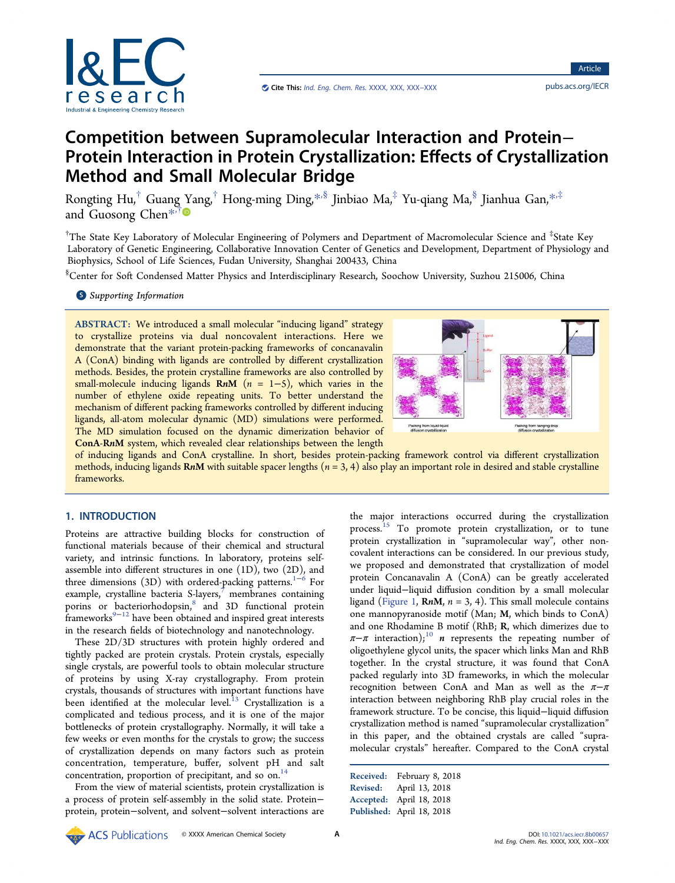

# Competition between Supramolecular Interaction and Protein− Protein Interaction in Protein Crystallization: Effects of Crystallization Method and Small Molecular Bridge

Rongting Hu,<sup>†</sup> Guang [Y](#page-6-0)ang,<sup>†</sup> Hong-ming Ding,[\\*](#page-6-0)<sup>,§</sup> Jinbiao Ma,<sup>‡</sup> Yu-qiang Ma,<sup>§</sup> Jianhua Gan,\*<sup>,‡</sup> and Guosong Chen[\\*](#page-6-0)<sup>,†</sup>

 $^\dagger$ The State Key Laboratory of Molecular Engineering of Polymers and Department of Macromolecular Science and  $^{\ddagger}$ State Key Laboratory of Genetic Engineering, Collaborative Innovation Center of Genetics and Development, Department of Physiology and Biophysics, School of Life Sciences, Fudan University, Shanghai 200433, China

§ Center for Soft Condensed Matter Physics and Interdisciplinary Research, Soochow University, Suzhou 215006, China

# **S** [Supporting Information](#page-6-0)

ABSTRACT: We introduced a small molecular "inducing ligand" strategy to crystallize proteins via dual noncovalent interactions. Here we demonstrate that the variant protein-packing frameworks of concanavalin A (ConA) binding with ligands are controlled by different crystallization methods. Besides, the protein crystalline frameworks are also controlled by small-molecule inducing ligands  $\mathbf{R}n\mathbf{M}$  (n = 1-5), which varies in the number of ethylene oxide repeating units. To better understand the mechanism of different packing frameworks controlled by different inducing ligands, all-atom molecular dynamic (MD) simulations were performed. The MD simulation focused on the dynamic dimerization behavior of ConA-RnM system, which revealed clear relationships between the length



of inducing ligands and ConA crystalline. In short, besides protein-packing framework control via different crystallization methods, inducing ligands RnM with suitable spacer lengths  $(n = 3, 4)$  also play an important role in desired and stable crystalline frameworks.

# 1. INTRODUCTION

Proteins are attractive building blocks for construction of functional materials because of their chemical and structural variety, and intrinsic functions. In laboratory, proteins selfassemble into different structures in one (1D), two (2D), and three dimensions (3D) with ordered-packing patterns.<sup>[1](#page-6-0)−[6](#page-6-0)</sup> For example, crystalline bacteria  $S$ -layers,<sup>[7](#page-6-0)</sup> membranes containing porins or bacteriorhodopsin,<sup>[8](#page-6-0)</sup> and 3D functional protein  $f$ rameworks<sup>[9](#page-6-0)−[12](#page-6-0)</sup> have been obtained and inspired great interests in the research fields of biotechnology and nanotechnology.

These 2D/3D structures with protein highly ordered and tightly packed are protein crystals. Protein crystals, especially single crystals, are powerful tools to obtain molecular structure of proteins by using X-ray crystallography. From protein crystals, thousands of structures with important functions have been identified at the molecular level.<sup>[13](#page-6-0)</sup> Crystallization is a complicated and tedious process, and it is one of the major bottlenecks of protein crystallography. Normally, it will take a few weeks or even months for the crystals to grow; the success of crystallization depends on many factors such as protein concentration, temperature, buffer, solvent pH and salt concentration, proportion of precipitant, and so on.<sup>[14](#page-6-0)</sup>

From the view of material scientists, protein crystallization is a process of protein self-assembly in the solid state. Protein− protein, protein−solvent, and solvent−solvent interactions are

the major interactions occurred during the crystallization process.<sup>[15](#page-6-0)</sup> To promote protein crystallization, or to tune protein crystallization in "supramolecular way", other noncovalent interactions can be considered. In our previous study, we proposed and demonstrated that crystallization of model protein Concanavalin A (ConA) can be greatly accelerated under liquid−liquid diffusion condition by a small molecular ligand [\(Figure 1,](#page-1-0) RnM,  $n = 3, 4$ ). This small molecule contains one mannopyranoside motif (Man; M, which binds to ConA) and one Rhodamine B motif (RhB; R, which dimerizes due to  $\pi-\pi$  interaction);<sup>[10](#page-6-0)</sup> *n* represents the repeating number of oligoethylene glycol units, the spacer which links Man and RhB together. In the crystal structure, it was found that ConA packed regularly into 3D frameworks, in which the molecular recognition between ConA and Man as well as the  $\pi-\pi$ interaction between neighboring RhB play crucial roles in the framework structure. To be concise, this liquid−liquid diffusion crystallization method is named "supramolecular crystallization" in this paper, and the obtained crystals are called "supramolecular crystals" hereafter. Compared to the ConA crystal

Received: February 8, 2018 Revised: April 13, 2018 Accepted: April 18, 2018 Published: April 18, 2018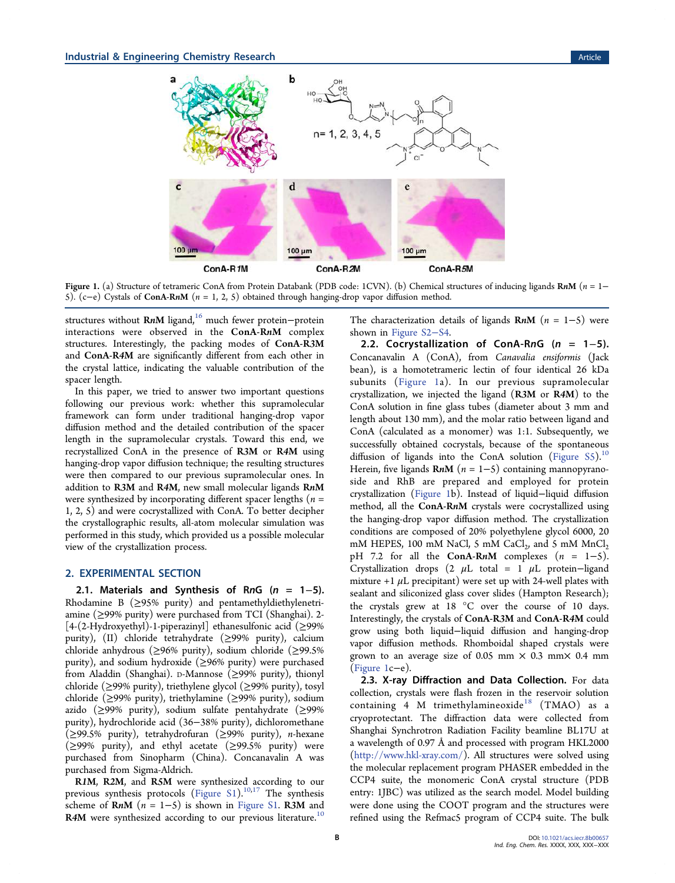<span id="page-1-0"></span>

Figure 1. (a) Structure of tetrameric ConA from Protein Databank (PDB code: 1CVN). (b) Chemical structures of inducing ligands RnM ( $n = 1-$ 5). (c−e) Cystals of ConA-RnM (n = 1, 2, 5) obtained through hanging-drop vapor diffusion method.

structures without RnM ligand,<sup>[16](#page-6-0)</sup> much fewer protein−protein interactions were observed in the ConA-RnM complex structures. Interestingly, the packing modes of ConA-R3M and ConA-R4M are significantly different from each other in the crystal lattice, indicating the valuable contribution of the spacer length.

In this paper, we tried to answer two important questions following our previous work: whether this supramolecular framework can form under traditional hanging-drop vapor diffusion method and the detailed contribution of the spacer length in the supramolecular crystals. Toward this end, we recrystallized ConA in the presence of R3M or R4M using hanging-drop vapor diffusion technique; the resulting structures were then compared to our previous supramolecular ones. In addition to R3M and R4M, new small molecular ligands RnM were synthesized by incorporating different spacer lengths ( $n =$ 1, 2, 5) and were cocrystallized with ConA. To better decipher the crystallographic results, all-atom molecular simulation was performed in this study, which provided us a possible molecular view of the crystallization process.

#### 2. EXPERIMENTAL SECTION

2.1. Materials and Synthesis of RnG ( $n = 1-5$ ). Rhodamine B (≥95% purity) and pentamethyldiethylenetriamine (≥99% purity) were purchased from TCI (Shanghai). 2- [4-(2-Hydroxyethyl)-1-piperazinyl] ethanesulfonic acid ( $\geq$ 99% purity), (II) chloride tetrahydrate ( $\geq$ 99% purity), calcium chloride anhydrous (≥96% purity), sodium chloride (≥99.5% purity), and sodium hydroxide (≥96% purity) were purchased from Aladdin (Shanghai). D-Mannose (≥99% purity), thionyl chloride (≥99% purity), triethylene glycol (≥99% purity), tosyl chloride (≥99% purity), triethylamine (≥99% purity), sodium azido (≥99% purity), sodium sulfate pentahydrate (≥99% purity), hydrochloride acid (36−38% purity), dichloromethane (≥99.5% purity), tetrahydrofuran (≥99% purity), n-hexane (≥99% purity), and ethyl acetate (≥99.5% purity) were purchased from Sinopharm (China). Concanavalin A was purchased from Sigma-Aldrich.

R1M, R2M, and R5M were synthesized according to our previous synthesis protocols ([Figure S1\)](http://pubs.acs.org/doi/suppl/10.1021/acs.iecr.8b00657/suppl_file/ie8b00657_si_001.pdf).<sup>10,[17](#page-6-0)</sup> The synthesis scheme of  $RnM$  (n = 1–5) is shown in [Figure S1.](http://pubs.acs.org/doi/suppl/10.1021/acs.iecr.8b00657/suppl_file/ie8b00657_si_001.pdf) R3M and R4M were synthesized according to our previous literature.<sup>[10](#page-6-0)</sup> The characterization details of ligands  $\mathbf{R}n\mathbf{M}$  (n = 1–5) were shown in [Figure S2](http://pubs.acs.org/doi/suppl/10.1021/acs.iecr.8b00657/suppl_file/ie8b00657_si_001.pdf)−S4.

2.2. Cocrystallization of ConA-RnG (n = 1-5). Concanavalin A (ConA), from Canavalia ensiformis (Jack bean), is a homotetrameric lectin of four identical 26 kDa subunits (Figure 1a). In our previous supramolecular crystallization, we injected the ligand (R3M or R4M) to the ConA solution in fine glass tubes (diameter about 3 mm and length about 130 mm), and the molar ratio between ligand and ConA (calculated as a monomer) was 1:1. Subsequently, we successfully obtained cocrystals, because of the spontaneous diffusion of ligands into the ConA solution ([Figure S5\)](http://pubs.acs.org/doi/suppl/10.1021/acs.iecr.8b00657/suppl_file/ie8b00657_si_001.pdf).<sup>[10](#page-6-0)</sup> Herein, five ligands  $\mathbf{R} \cdot \mathbf{n}$  ( $n = 1 - 5$ ) containing mannopyranoside and RhB are prepared and employed for protein crystallization (Figure 1b). Instead of liquid−liquid diffusion method, all the ConA-RnM crystals were cocrystallized using the hanging-drop vapor diffusion method. The crystallization conditions are composed of 20% polyethylene glycol 6000, 20 mM HEPES, 100 mM NaCl, 5 mM CaCl<sub>2</sub>, and 5 mM MnCl<sub>2</sub> pH 7.2 for all the ConA-RnM complexes  $(n = 1-5)$ . Crystallization drops (2  $\mu$ L total = 1  $\mu$ L protein-ligand mixture  $+1$   $\mu$ L precipitant) were set up with 24-well plates with sealant and siliconized glass cover slides (Hampton Research); the crystals grew at 18 °C over the course of 10 days. Interestingly, the crystals of ConA-R3M and ConA-R4M could grow using both liquid−liquid diffusion and hanging-drop vapor diffusion methods. Rhomboidal shaped crystals were grown to an average size of 0.05 mm  $\times$  0.3 mm $\times$  0.4 mm (Figure 1c−e).

2.3. X-ray Diffraction and Data Collection. For data collection, crystals were flash frozen in the reservoir solution containing  $4\,$  M trimethylamineoxide<sup>[18](#page-6-0)</sup> (TMAO) as a cryoprotectant. The diffraction data were collected from Shanghai Synchrotron Radiation Facility beamline BL17U at a wavelength of 0.97 Å and processed with program HKL2000 [\(http://www.hkl-xray.com/](http://www.hkl-xray.com/)). All structures were solved using the molecular replacement program PHASER embedded in the CCP4 suite, the monomeric ConA crystal structure (PDB entry: 1JBC) was utilized as the search model. Model building were done using the COOT program and the structures were refined using the Refmac5 program of CCP4 suite. The bulk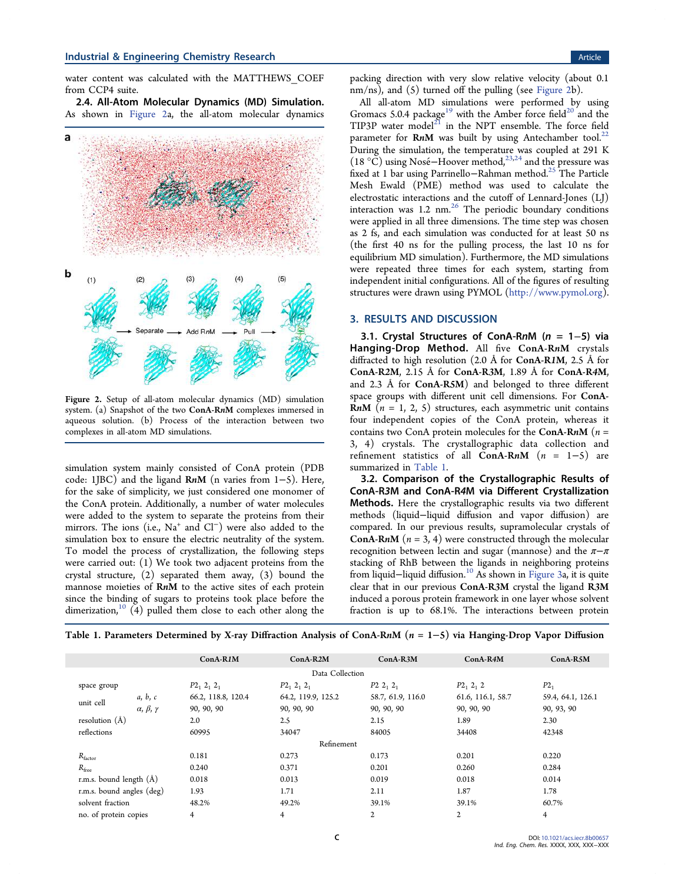water content was calculated with the MATTHEWS\_COEF from CCP4 suite.

2.4. All-Atom Molecular Dynamics (MD) Simulation. As shown in Figure 2a, the all-atom molecular dynamics



Figure 2. Setup of all-atom molecular dynamics (MD) simulation system. (a) Snapshot of the two ConA-RnM complexes immersed in aqueous solution. (b) Process of the interaction between two complexes in all-atom MD simulations.

simulation system mainly consisted of ConA protein (PDB code: 1JBC) and the ligand RnM (n varies from 1−5). Here, for the sake of simplicity, we just considered one monomer of the ConA protein. Additionally, a number of water molecules were added to the system to separate the proteins from their mirrors. The ions (i.e., Na<sup>+</sup> and Cl<sup>−</sup>) were also added to the simulation box to ensure the electric neutrality of the system. To model the process of crystallization, the following steps were carried out: (1) We took two adjacent proteins from the crystal structure, (2) separated them away, (3) bound the mannose moieties of RnM to the active sites of each protein since the binding of sugars to proteins took place before the dimerization,<sup>[10](#page-6-0)</sup>  $(4)$  pulled them close to each other along the

packing direction with very slow relative velocity (about 0.1 nm/ns), and (5) turned off the pulling (see Figure 2b).

All all-atom MD simulations were performed by using Gromacs 5.0.4 package<sup>[19](#page-6-0)</sup> with the Amber force field<sup>[20](#page-6-0)</sup> and the TIP3P water model $^{21}$  $^{21}$  $^{21}$  in the NPT ensemble. The force field parameter for  $RnM$  was built by using Antechamber tool.<sup>[22](#page-6-0)</sup> During the simulation, the temperature was coupled at 291 K (18 °C) using Nose−́ Hoover method,[23](#page-6-0),[24](#page-6-0) and the pressure was fixed at 1 bar using Parrinello−Rahman method.[25](#page-6-0) The Particle Mesh Ewald (PME) method was used to calculate the electrostatic interactions and the cutoff of Lennard-Jones (LJ) interaction was  $1.2 \text{ nm.}^{26}$  $1.2 \text{ nm.}^{26}$  $1.2 \text{ nm.}^{26}$  The periodic boundary conditions were applied in all three dimensions. The time step was chosen as 2 fs, and each simulation was conducted for at least 50 ns (the first 40 ns for the pulling process, the last 10 ns for equilibrium MD simulation). Furthermore, the MD simulations were repeated three times for each system, starting from independent initial configurations. All of the figures of resulting structures were drawn using PYMOL ([http://www.pymol.org\)](http://www.pymol.org).

#### 3. RESULTS AND DISCUSSION

3.1. Crystal Structures of ConA-RnM (n = 1−5) via Hanging-Drop Method. All five ConA-RnM crystals diffracted to high resolution (2.0 Å for ConA-R1M, 2.5 Å for ConA-R2M, 2.15 Å for ConA-R3M, 1.89 Å for ConA-R4M, and 2.3 Å for ConA-R5M) and belonged to three different space groups with different unit cell dimensions. For ConA-**RnM** ( $n = 1, 2, 5$ ) structures, each asymmetric unit contains four independent copies of the ConA protein, whereas it contains two ConA protein molecules for the ConA-RnM ( $n =$ 3, 4) crystals. The crystallographic data collection and refinement statistics of all  $ConA-RnM$  (n = 1-5) are summarized in Table 1.

3.2. Comparison of the Crystallographic Results of ConA-R3M and ConA-R4M via Different Crystallization Methods. Here the crystallographic results via two different methods (liquid−liquid diffusion and vapor diffusion) are compared. In our previous results, supramolecular crystals of **ConA-RnM** ( $n = 3, 4$ ) were constructed through the molecular recognition between lectin and sugar (mannose) and the  $\pi-\pi$ stacking of RhB between the ligands in neighboring proteins from liquid−liquid diffusion.[10](#page-6-0) As shown in [Figure 3](#page-3-0)a, it is quite clear that in our previous ConA-R3M crystal the ligand R3M induced a porous protein framework in one layer whose solvent fraction is up to 68.1%. The interactions between protein

Table 1. Parameters Determined by X-ray Diffraction Analysis of ConA-RnM (n = 1−5) via Hanging-Drop Vapor Diffusion

|                           |                               | ConA-R1M           | $ConA-R2M$         | $ConA-R3M$        | ConA-R4M          | $ConA-R5M$        |
|---------------------------|-------------------------------|--------------------|--------------------|-------------------|-------------------|-------------------|
| Data Collection           |                               |                    |                    |                   |                   |                   |
| space group               |                               | $P2_1 2_1 2_1$     | $P2_1 2_1 2_1$     | $P2\;2_1\;2_1$    | $P2_1 2_1 2$      | $P2_1$            |
| unit cell                 | a, b, c                       | 66.2, 118.8, 120.4 | 64.2, 119.9, 125.2 | 58.7, 61.9, 116.0 | 61.6, 116.1, 58.7 | 59.4, 64.1, 126.1 |
|                           | $\alpha$ , $\beta$ , $\gamma$ | 90, 90, 90         | 90, 90, 90         | 90, 90, 90        | 90, 90, 90        | 90, 93, 90        |
| resolution $(A)$          |                               | 2.0                | 2.5                | 2.15              | 1.89              | 2.30              |
| reflections               |                               | 60995              | 34047              | 84005             | 34408             | 42348             |
| Refinement                |                               |                    |                    |                   |                   |                   |
| $R_{\text{factor}}$       |                               | 0.181              | 0.273              | 0.173             | 0.201             | 0.220             |
| $R_{\text{free}}$         |                               | 0.240              | 0.371              | 0.201             | 0.260             | 0.284             |
| r.m.s. bound length $(A)$ |                               | 0.018              | 0.013              | 0.019             | 0.018             | 0.014             |
| r.m.s. bound angles (deg) |                               | 1.93               | 1.71               | 2.11              | 1.87              | 1.78              |
| solvent fraction          |                               | 48.2%              | 49.2%              | 39.1%             | 39.1%             | 60.7%             |
| no. of protein copies     |                               | $\overline{4}$     | $\overline{4}$     | 2                 | 2                 | 4                 |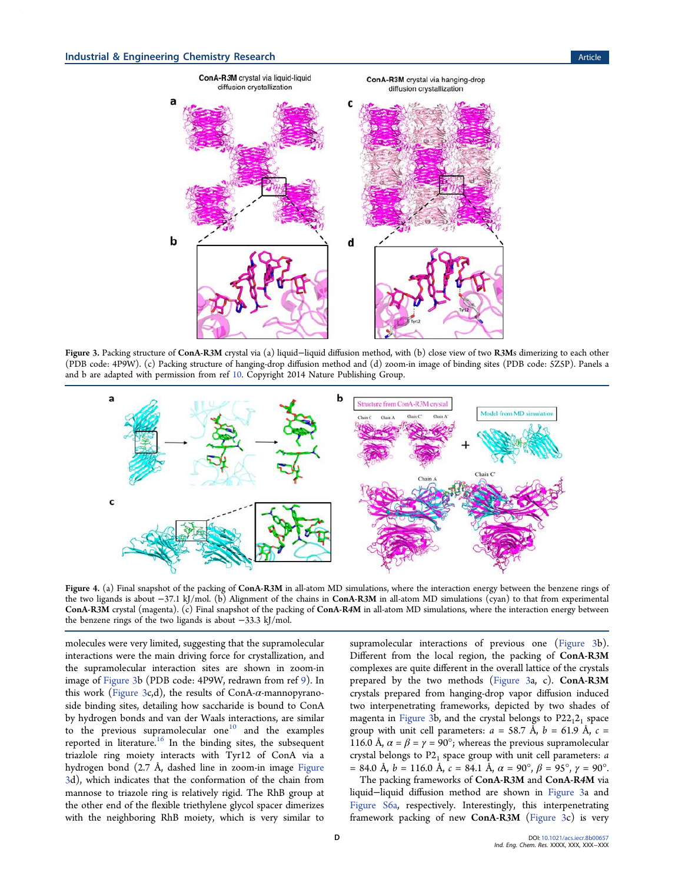<span id="page-3-0"></span>

Figure 3. Packing structure of ConA-R3M crystal via (a) liquid−liquid diffusion method, with (b) close view of two R3Ms dimerizing to each other (PDB code: 4P9W). (c) Packing structure of hanging-drop diffusion method and (d) zoom-in image of binding sites (PDB code: 5Z5P). Panels a and b are adapted with permission from ref [10.](#page-6-0) Copyright 2014 Nature Publishing Group.



Figure 4. (a) Final snapshot of the packing of ConA-R3M in all-atom MD simulations, where the interaction energy between the benzene rings of the two ligands is about −37.1 kJ/mol. (b) Alignment of the chains in ConA-R3M in all-atom MD simulations (cyan) to that from experimental ConA-R3M crystal (magenta). (c) Final snapshot of the packing of ConA-R4M in all-atom MD simulations, where the interaction energy between the benzene rings of the two ligands is about −33.3 kJ/mol.

molecules were very limited, suggesting that the supramolecular interactions were the main driving force for crystallization, and the supramolecular interaction sites are shown in zoom-in image of Figure 3b (PDB code: 4P9W, redrawn from ref [9\)](#page-6-0). In this work (Figure 3c,d), the results of ConA- $\alpha$ -mannopyranoside binding sites, detailing how saccharide is bound to ConA by hydrogen bonds and van der Waals interactions, are similar to the previous supramolecular one $10$  and the examples reported in literature.<sup>[16](#page-6-0)</sup> In the binding sites, the subsequent triazlole ring moiety interacts with Tyr12 of ConA via a hydrogen bond (2.7 Å, dashed line in zoom-in image Figure 3d), which indicates that the conformation of the chain from mannose to triazole ring is relatively rigid. The RhB group at the other end of the flexible triethylene glycol spacer dimerizes with the neighboring RhB moiety, which is very similar to

supramolecular interactions of previous one (Figure 3b). Different from the local region, the packing of ConA-R3M complexes are quite different in the overall lattice of the crystals prepared by the two methods (Figure 3a, c). ConA-R3M crystals prepared from hanging-drop vapor diffusion induced two interpenetrating frameworks, depicted by two shades of magenta in Figure 3b, and the crystal belongs to  $P22<sub>1</sub>2<sub>1</sub>$  space group with unit cell parameters:  $a = 58.7 \text{ Å}, b = 61.9 \text{ Å}, c =$ 116.0 Å,  $\alpha = \beta = \gamma = 90^{\circ}$ ; whereas the previous supramolecular crystal belongs to  $P2<sub>1</sub>$  space group with unit cell parameters: a  $= 84.0 \text{ Å}, b = 116.0 \text{ Å}, c = 84.1 \text{ Å}, \alpha = 90^{\circ}, \beta = 95^{\circ}, \gamma = 90^{\circ}.$ 

The packing frameworks of ConA-R3M and ConA-R4M via liquid−liquid diffusion method are shown in Figure 3a and [Figure S6a](http://pubs.acs.org/doi/suppl/10.1021/acs.iecr.8b00657/suppl_file/ie8b00657_si_001.pdf), respectively. Interestingly, this interpenetrating framework packing of new ConA-R3M (Figure 3c) is very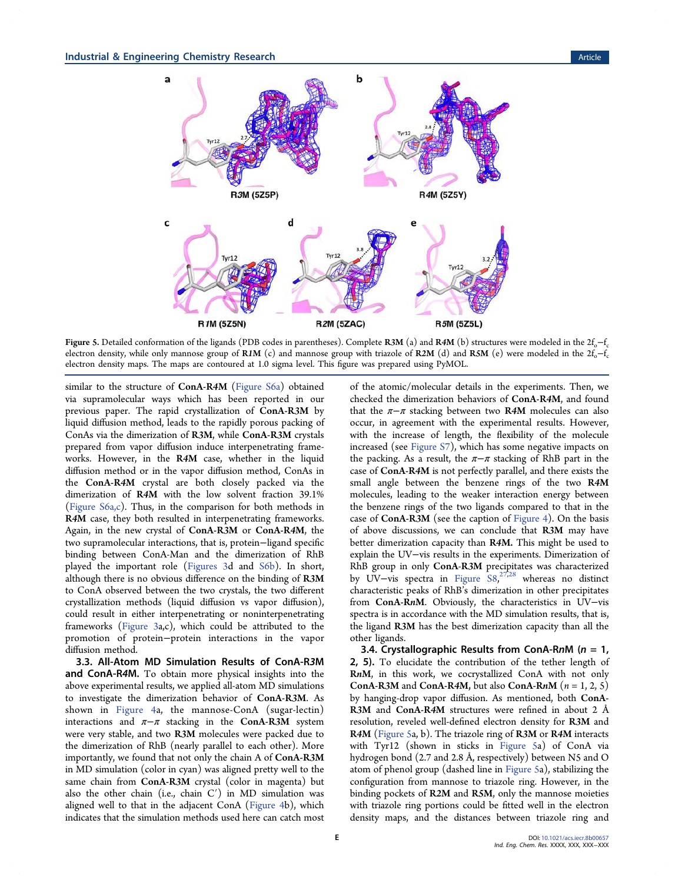<span id="page-4-0"></span>

Figure 5. Detailed conformation of the ligands (PDB codes in parentheses). Complete R3M (a) and R4M (b) structures were modeled in the  $2f_0$ – $f_c$ electron density, while only mannose group of R1M (c) and mannose group with triazole of R2M (d) and R5M (e) were modeled in the  $2f_0$ -f<sub>c</sub> electron density maps. The maps are contoured at 1.0 sigma level. This figure was prepared using PyMOL.

similar to the structure of ConA-R4M [\(Figure S6a\)](http://pubs.acs.org/doi/suppl/10.1021/acs.iecr.8b00657/suppl_file/ie8b00657_si_001.pdf) obtained via supramolecular ways which has been reported in our previous paper. The rapid crystallization of ConA-R3M by liquid diffusion method, leads to the rapidly porous packing of ConAs via the dimerization of R3M, while ConA-R3M crystals prepared from vapor diffusion induce interpenetrating frameworks. However, in the R4M case, whether in the liquid diffusion method or in the vapor diffusion method, ConAs in the ConA-R4M crystal are both closely packed via the dimerization of R4M with the low solvent fraction 39.1% [\(Figure S6a,c\)](http://pubs.acs.org/doi/suppl/10.1021/acs.iecr.8b00657/suppl_file/ie8b00657_si_001.pdf). Thus, in the comparison for both methods in R4M case, they both resulted in interpenetrating frameworks. Again, in the new crystal of ConA-R3M or ConA-R4M, the two supramolecular interactions, that is, protein−ligand specific binding between ConA-Man and the dimerization of RhB played the important role ([Figures 3](#page-3-0)d and [S6b\)](http://pubs.acs.org/doi/suppl/10.1021/acs.iecr.8b00657/suppl_file/ie8b00657_si_001.pdf). In short, although there is no obvious difference on the binding of R3M to ConA observed between the two crystals, the two different crystallization methods (liquid diffusion vs vapor diffusion), could result in either interpenetrating or noninterpenetrating frameworks [\(Figure 3a](#page-3-0),c), which could be attributed to the promotion of protein−protein interactions in the vapor diffusion method.

3.3. All-Atom MD Simulation Results of ConA-R3M and ConA-R4M. To obtain more physical insights into the above experimental results, we applied all-atom MD simulations to investigate the dimerization behavior of ConA-R3M. As shown in [Figure 4a](#page-3-0), the mannose-ConA (sugar-lectin) interactions and  $\pi-\pi$  stacking in the ConA-R3M system were very stable, and two R3M molecules were packed due to the dimerization of RhB (nearly parallel to each other). More importantly, we found that not only the chain A of ConA-R3M in MD simulation (color in cyan) was aligned pretty well to the same chain from ConA-R3M crystal (color in magenta) but also the other chain (i.e., chain  $C'$ ) in MD simulation was aligned well to that in the adjacent ConA [\(Figure 4b](#page-3-0)), which indicates that the simulation methods used here can catch most

of the atomic/molecular details in the experiments. Then, we checked the dimerization behaviors of ConA-R4M, and found that the  $\pi-\pi$  stacking between two R4M molecules can also occur, in agreement with the experimental results. However, with the increase of length, the flexibility of the molecule increased (see [Figure S7](http://pubs.acs.org/doi/suppl/10.1021/acs.iecr.8b00657/suppl_file/ie8b00657_si_001.pdf)), which has some negative impacts on the packing. As a result, the  $\pi-\pi$  stacking of RhB part in the case of ConA-R4M is not perfectly parallel, and there exists the small angle between the benzene rings of the two R4M molecules, leading to the weaker interaction energy between the benzene rings of the two ligands compared to that in the case of ConA-R3M (see the caption of [Figure 4\)](#page-3-0). On the basis of above discussions, we can conclude that R3M may have better dimerization capacity than R4M. This might be used to explain the UV−vis results in the experiments. Dimerization of RhB group in only ConA-R3M precipitates was characterized by UV−vis spectra in [Figure S8](http://pubs.acs.org/doi/suppl/10.1021/acs.iecr.8b00657/suppl_file/ie8b00657_si_001.pdf), [27](#page-7-0),[28](#page-7-0) whereas no distinct characteristic peaks of RhB's dimerization in other precipitates from ConA-RnM. Obviously, the characteristics in UV−vis spectra is in accordance with the MD simulation results, that is, the ligand R3M has the best dimerization capacity than all the other ligands.

3.4. Crystallographic Results from ConA-RnM ( $n = 1$ , 2, 5). To elucidate the contribution of the tether length of RnM, in this work, we cocrystallized ConA with not only ConA-R3M and ConA-R4M, but also ConA-RnM  $(n = 1, 2, 5)$ by hanging-drop vapor diffusion. As mentioned, both ConA-R3M and ConA-R4M structures were refined in about 2 Å resolution, reveled well-defined electron density for R3M and R4M (Figure 5a, b). The triazole ring of R3M or R4M interacts with Tyr12 (shown in sticks in Figure 5a) of ConA via hydrogen bond (2.7 and 2.8 Å, respectively) between N5 and O atom of phenol group (dashed line in Figure 5a), stabilizing the configuration from mannose to triazole ring. However, in the binding pockets of R2M and R5M, only the mannose moieties with triazole ring portions could be fitted well in the electron density maps, and the distances between triazole ring and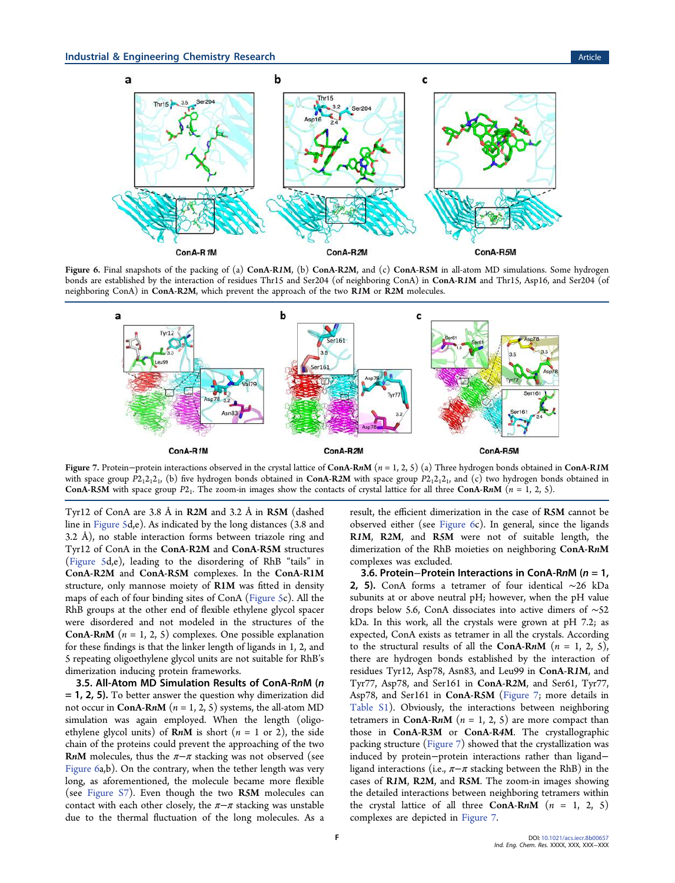

Figure 6. Final snapshots of the packing of (a) ConA-R1M, (b) ConA-R2M, and (c) ConA-R5M in all-atom MD simulations. Some hydrogen bonds are established by the interaction of residues Thr15 and Ser204 (of neighboring ConA) in ConA-R1M and Thr15, Asp16, and Ser204 (of neighboring ConA) in ConA-R2M, which prevent the approach of the two R1M or R2M molecules.



Figure 7. Protein−protein interactions observed in the crystal lattice of ConA-RnM ( $n = 1, 2, 5$ ) (a) Three hydrogen bonds obtained in ConA-R1M with space group  $P2_12_12_1$ , (b) five hydrogen bonds obtained in ConA-R2M with space group  $P2_12_12_1$ , and (c) two hydrogen bonds obtained in ConA-R5M with space group  $P2_1$ . The zoom-in images show the contacts of crystal lattice for all three ConA-RnM  $(n = 1, 2, 5)$ .

Tyr12 of ConA are 3.8 Å in R2M and 3.2 Å in R5M (dashed line in [Figure 5](#page-4-0)d,e). As indicated by the long distances (3.8 and 3.2 Å), no stable interaction forms between triazole ring and Tyr12 of ConA in the ConA-R2M and ConA-R5M structures [\(Figure 5d](#page-4-0),e), leading to the disordering of RhB "tails" in ConA-R2M and ConA-R5M complexes. In the ConA-R1M structure, only mannose moiety of R1M was fitted in density maps of each of four binding sites of ConA [\(Figure 5c](#page-4-0)). All the RhB groups at the other end of flexible ethylene glycol spacer were disordered and not modeled in the structures of the **ConA-RnM** ( $n = 1, 2, 5$ ) complexes. One possible explanation for these findings is that the linker length of ligands in 1, 2, and 5 repeating oligoethylene glycol units are not suitable for RhB's dimerization inducing protein frameworks.

3.5. All-Atom MD Simulation Results of ConA-RnM (n = 1, 2, 5). To better answer the question why dimerization did not occur in ConA-RnM ( $n = 1, 2, 5$ ) systems, the all-atom MD simulation was again employed. When the length (oligoethylene glycol units) of  $RnM$  is short ( $n = 1$  or 2), the side chain of the proteins could prevent the approaching of the two RnM molecules, thus the  $\pi-\pi$  stacking was not observed (see Figure 6a,b). On the contrary, when the tether length was very long, as aforementioned, the molecule became more flexible (see [Figure S7](http://pubs.acs.org/doi/suppl/10.1021/acs.iecr.8b00657/suppl_file/ie8b00657_si_001.pdf)). Even though the two R5M molecules can contact with each other closely, the  $\pi-\pi$  stacking was unstable due to the thermal fluctuation of the long molecules. As a

result, the efficient dimerization in the case of R5M cannot be observed either (see Figure 6c). In general, since the ligands R1M, R2M, and R5M were not of suitable length, the dimerization of the RhB moieties on neighboring ConA-RnM complexes was excluded.

3.6. Protein−Protein Interactions in ConA-RnM (n = 1, 2, 5). ConA forms a tetramer of four identical ~26 kDa subunits at or above neutral pH; however, when the pH value drops below 5.6, ConA dissociates into active dimers of ∼52 kDa. In this work, all the crystals were grown at pH 7.2; as expected, ConA exists as tetramer in all the crystals. According to the structural results of all the ConA-RnM  $(n = 1, 2, 5)$ , there are hydrogen bonds established by the interaction of residues Tyr12, Asp78, Asn83, and Leu99 in ConA-R1M, and Tyr77, Asp78, and Ser161 in ConA-R2M, and Ser61, Tyr77, Asp78, and Ser161 in ConA-R5M (Figure 7; more details in [Table S1](http://pubs.acs.org/doi/suppl/10.1021/acs.iecr.8b00657/suppl_file/ie8b00657_si_001.pdf)). Obviously, the interactions between neighboring tetramers in ConA-RnM ( $n = 1, 2, 5$ ) are more compact than those in ConA-R3M or ConA-R4M. The crystallographic packing structure (Figure 7) showed that the crystallization was induced by protein−protein interactions rather than ligand− ligand interactions (i.e.,  $\pi-\pi$  stacking between the RhB) in the cases of R1M, R2M, and R5M. The zoom-in images showing the detailed interactions between neighboring tetramers within the crystal lattice of all three ConA-RnM  $(n = 1, 2, 5)$ complexes are depicted in Figure 7.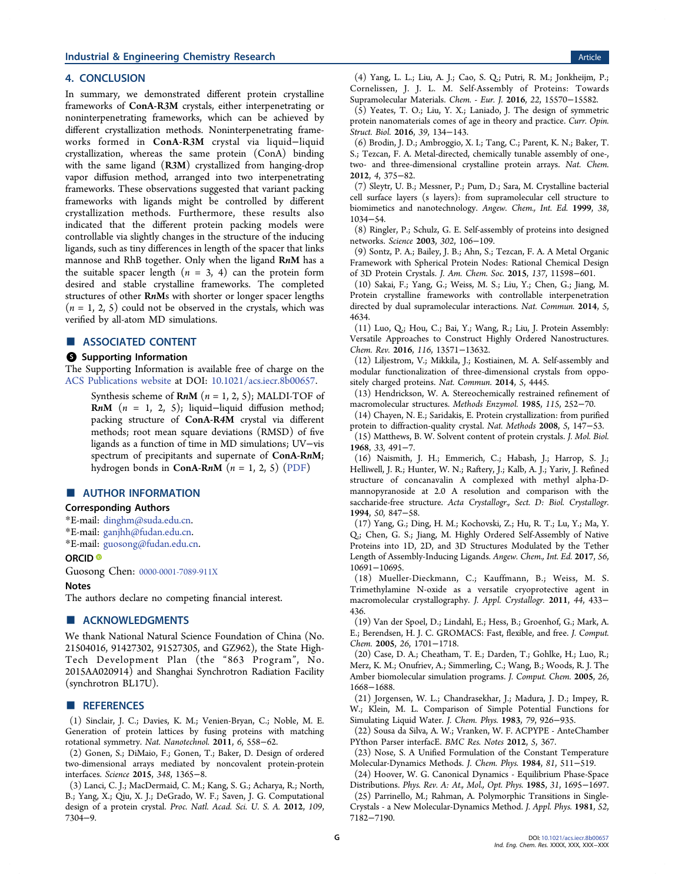#### <span id="page-6-0"></span>**Industrial & Engineering Chemistry Research Article 3 and 2008 Control and 2008 Control article Article 4.0 Article**

### 4. CONCLUSION

In summary, we demonstrated different protein crystalline frameworks of ConA-R3M crystals, either interpenetrating or noninterpenetrating frameworks, which can be achieved by different crystallization methods. Noninterpenetrating frameworks formed in ConA-R3M crystal via liquid−liquid crystallization, whereas the same protein (ConA) binding with the same ligand (R3M) crystallized from hanging-drop vapor diffusion method, arranged into two interpenetrating frameworks. These observations suggested that variant packing frameworks with ligands might be controlled by different crystallization methods. Furthermore, these results also indicated that the different protein packing models were controllable via slightly changes in the structure of the inducing ligands, such as tiny differences in length of the spacer that links mannose and RhB together. Only when the ligand RnM has a the suitable spacer length  $(n = 3, 4)$  can the protein form desired and stable crystalline frameworks. The completed structures of other RnMs with shorter or longer spacer lengths  $(n = 1, 2, 5)$  could not be observed in the crystals, which was verified by all-atom MD simulations.

# ■ ASSOCIATED CONTENT

### **6** Supporting Information

The Supporting Information is available free of charge on the [ACS Publications website](http://pubs.acs.org) at DOI: [10.1021/acs.iecr.8b00657](http://pubs.acs.org/doi/abs/10.1021/acs.iecr.8b00657).

Synthesis scheme of  $RnM$  ( $n = 1, 2, 5$ ); MALDI-TOF of RnM  $(n = 1, 2, 5)$ ; liquid–liquid diffusion method; packing structure of ConA-R4M crystal via different methods; root mean square deviations (RMSD) of five ligands as a function of time in MD simulations; UV−vis spectrum of precipitants and supernate of ConA-RnM; hydrogen bonds in ConA-RnM  $(n = 1, 2, 5)$  [\(PDF\)](http://pubs.acs.org/doi/suppl/10.1021/acs.iecr.8b00657/suppl_file/ie8b00657_si_001.pdf)

## ■ AUTHOR INFORMATION

#### Corresponding Authors

\*E-mail: [dinghm@suda.edu.cn.](mailto:dinghm@suda.edu.cn)

- \*E-mail: [ganjhh@fudan.edu.cn.](mailto:ganjhh@fudan.edu.cn)
- \*E-mail: [guosong@fudan.edu.cn.](mailto:guosong@fudan.edu.cn)

### ORCID<sup>®</sup>

Guosong Chen: [0000-0001-7089-911X](http://orcid.org/0000-0001-7089-911X)

#### **Notes**

The authors declare no competing financial interest.

#### ■ ACKNOWLEDGMENTS

We thank National Natural Science Foundation of China (No. 21504016, 91427302, 91527305, and GZ962), the State High-Tech Development Plan (the "863 Program", No. 2015AA020914) and Shanghai Synchrotron Radiation Facility (synchrotron BL17U).

#### ■ REFERENCES

(1) Sinclair, J. C.; Davies, K. M.; Venien-Bryan, C.; Noble, M. E. Generation of protein lattices by fusing proteins with matching rotational symmetry. Nat. Nanotechnol. 2011, 6, 558−62.

(2) Gonen, S.; DiMaio, F.; Gonen, T.; Baker, D. Design of ordered two-dimensional arrays mediated by noncovalent protein-protein interfaces. Science 2015, 348, 1365−8.

(3) Lanci, C. J.; MacDermaid, C. M.; Kang, S. G.; Acharya, R.; North, B.; Yang, X.; Qiu, X. J.; DeGrado, W. F.; Saven, J. G. Computational design of a protein crystal. Proc. Natl. Acad. Sci. U. S. A. 2012, 109, 7304−9.

(4) Yang, L. L.; Liu, A. J.; Cao, S. Q.; Putri, R. M.; Jonkheijm, P.; Cornelissen, J. J. L. M. Self-Assembly of Proteins: Towards Supramolecular Materials. Chem. - Eur. J. 2016, 22, 15570−15582.

(5) Yeates, T. O.; Liu, Y. X.; Laniado, J. The design of symmetric protein nanomaterials comes of age in theory and practice. Curr. Opin. Struct. Biol. 2016, 39, 134−143.

(6) Brodin, J. D.; Ambroggio, X. I.; Tang, C.; Parent, K. N.; Baker, T. S.; Tezcan, F. A. Metal-directed, chemically tunable assembly of one-, two- and three-dimensional crystalline protein arrays. Nat. Chem. 2012, 4, 375−82.

(7) Sleytr, U. B.; Messner, P.; Pum, D.; Sara, M. Crystalline bacterial cell surface layers (s layers): from supramolecular cell structure to biomimetics and nanotechnology. Angew. Chem., Int. Ed. 1999, 38, 1034−54.

(8) Ringler, P.; Schulz, G. E. Self-assembly of proteins into designed networks. Science 2003, 302, 106−109.

(9) Sontz, P. A.; Bailey, J. B.; Ahn, S.; Tezcan, F. A. A Metal Organic Framework with Spherical Protein Nodes: Rational Chemical Design of 3D Protein Crystals. J. Am. Chem. Soc. 2015, 137, 11598−601.

(10) Sakai, F.; Yang, G.; Weiss, M. S.; Liu, Y.; Chen, G.; Jiang, M. Protein crystalline frameworks with controllable interpenetration directed by dual supramolecular interactions. Nat. Commun. 2014, 5, 4634.

(11) Luo, Q.; Hou, C.; Bai, Y.; Wang, R.; Liu, J. Protein Assembly: Versatile Approaches to Construct Highly Ordered Nanostructures. Chem. Rev. 2016, 116, 13571−13632.

(12) Liljestrom, V.; Mikkila, J.; Kostiainen, M. A. Self-assembly and modular functionalization of three-dimensional crystals from oppositely charged proteins. Nat. Commun. 2014, 5, 4445.

(13) Hendrickson, W. A. Stereochemically restrained refinement of macromolecular structures. Methods Enzymol. 1985, 115, 252−70.

(14) Chayen, N. E.; Saridakis, E. Protein crystallization: from purified protein to diffraction-quality crystal. Nat. Methods 2008, 5, 147−53. (15) Matthews, B. W. Solvent content of protein crystals. J. Mol. Biol.

1968, 33, 491−7.

(16) Naismith, J. H.; Emmerich, C.; Habash, J.; Harrop, S. J.; Helliwell, J. R.; Hunter, W. N.; Raftery, J.; Kalb, A. J.; Yariv, J. Refined structure of concanavalin A complexed with methyl alpha-Dmannopyranoside at 2.0 A resolution and comparison with the saccharide-free structure. Acta Crystallogr., Sect. D: Biol. Crystallogr. 1994, 50, 847−58.

(17) Yang, G.; Ding, H. M.; Kochovski, Z.; Hu, R. T.; Lu, Y.; Ma, Y. Q.; Chen, G. S.; Jiang, M. Highly Ordered Self-Assembly of Native Proteins into 1D, 2D, and 3D Structures Modulated by the Tether Length of Assembly-Inducing Ligands. Angew. Chem., Int. Ed. 2017, 56, 10691−10695.

(18) Mueller-Dieckmann, C.; Kauffmann, B.; Weiss, M. S. Trimethylamine N-oxide as a versatile cryoprotective agent in macromolecular crystallography. J. Appl. Crystallogr. 2011, 44, 433− 436.

(19) Van der Spoel, D.; Lindahl, E.; Hess, B.; Groenhof, G.; Mark, A. E.; Berendsen, H. J. C. GROMACS: Fast, flexible, and free. J. Comput. Chem. 2005, 26, 1701−1718.

(20) Case, D. A.; Cheatham, T. E.; Darden, T.; Gohlke, H.; Luo, R.; Merz, K. M.; Onufriev, A.; Simmerling, C.; Wang, B.; Woods, R. J. The Amber biomolecular simulation programs. J. Comput. Chem. 2005, 26, 1668−1688.

(21) Jorgensen, W. L.; Chandrasekhar, J.; Madura, J. D.; Impey, R. W.; Klein, M. L. Comparison of Simple Potential Functions for Simulating Liquid Water. J. Chem. Phys. 1983, 79, 926−935.

(22) Sousa da Silva, A. W.; Vranken, W. F. ACPYPE - AnteChamber PYthon Parser interfacE. BMC Res. Notes 2012, 5, 367.

(23) Nose, S. A Unified Formulation of the Constant Temperature Molecular-Dynamics Methods. J. Chem. Phys. 1984, 81, 511−519.

(24) Hoover, W. G. Canonical Dynamics - Equilibrium Phase-Space Distributions. Phys. Rev. A: At., Mol., Opt. Phys. 1985, 31, 1695−1697. (25) Parrinello, M.; Rahman, A. Polymorphic Transitions in Single-Crystals - a New Molecular-Dynamics Method. J. Appl. Phys. 1981, 52,

7182−7190.